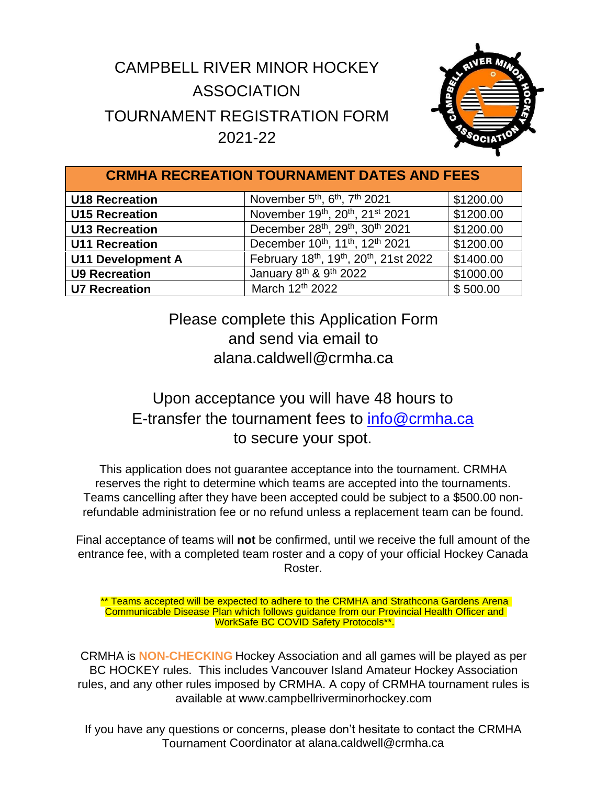## CAMPBELL RIVER MINOR HOCKEY ASSOCIATION TOURNAMENT REGISTRATION FORM 2021-22



| <b>CRMHA RECREATION TOURNAMENT DATES AND FEES</b> |                                                                   |           |  |  |
|---------------------------------------------------|-------------------------------------------------------------------|-----------|--|--|
| <b>U18 Recreation</b>                             | November 5 <sup>th</sup> , 6 <sup>th</sup> , 7 <sup>th</sup> 2021 | \$1200.00 |  |  |
| <b>U15 Recreation</b>                             | November 19th, 20th, 21st 2021                                    | \$1200.00 |  |  |
| <b>U13 Recreation</b>                             | December 28th, 29th, 30th 2021                                    | \$1200.00 |  |  |
| <b>U11 Recreation</b>                             | December 10th, 11th, 12th 2021                                    | \$1200.00 |  |  |
| <b>U11 Development A</b>                          | February 18th, 19th, 20th, 21st 2022                              | \$1400.00 |  |  |
| <b>U9 Recreation</b>                              | January 8th & 9th 2022                                            | \$1000.00 |  |  |
| <b>U7 Recreation</b>                              | March 12th 2022                                                   | \$500.00  |  |  |

Please complete this Application Form and send via email to alana.caldwell@crmha.ca

## Upon acceptance you will have 48 hours to E-transfer the tournament fees to [info@crmha.ca](mailto:info@crmha.ca) to secure your spot.

This application does not guarantee acceptance into the tournament. CRMHA reserves the right to determine which teams are accepted into the tournaments. Teams cancelling after they have been accepted could be subject to a \$500.00 nonrefundable administration fee or no refund unless a replacement team can be found.

Final acceptance of teams will **not** be confirmed, until we receive the full amount of the entrance fee, with a completed team roster and a copy of your official Hockey Canada Roster.

Teams accepted will be expected to adhere to the CRMHA and Strathcona Gardens Arena Communicable Disease Plan which follows guidance from our Provincial Health Officer and WorkSafe BC COVID Safety Protocols\*\*.

CRMHA is **NON-CHECKING** Hockey Association and all games will be played as per BC HOCKEY rules. This includes Vancouver Island Amateur Hockey Association rules, and any other rules imposed by CRMHA. A copy of CRMHA tournament rules is available at [www.campbellriverminorhockey.com](http://www.campbellriverminorhockey.com/)

If you have any questions or concerns, please don't hesitate to contact the CRMHA Tournament Coordinator at alana.caldwell@crmha.ca